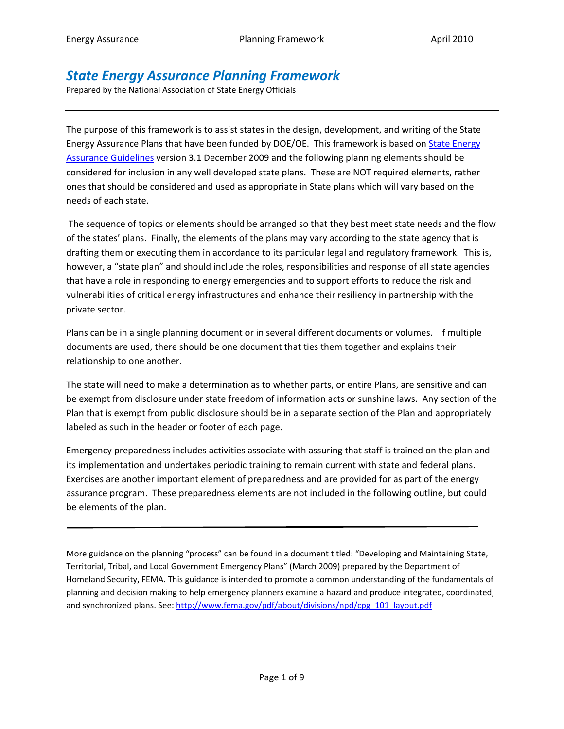# *State Energy Assurance Planning Framework*

Prepared by the National Association of State Energy Officials

The purpose of this framework is to assist states in the design, development, and writing of the State Energy Assurance Plans that have been funded by DOE/OE. This framework is based on State Energy [Assurance Guidelines](http://www.naseo.org/eaguidelines) version 3.1 December 2009 and the following planning elements should be considered for inclusion in any well developed state plans. These are NOT required elements, rather ones that should be considered and used as appropriate in State plans which will vary based on the needs of each state.

The sequence of topics or elements should be arranged so that they best meet state needs and the flow of the states' plans. Finally, the elements of the plans may vary according to the state agency that is drafting them or executing them in accordance to its particular legal and regulatory framework. This is, however, a "state plan" and should include the roles, responsibilities and response of all state agencies that have a role in responding to energy emergencies and to support efforts to reduce the risk and vulnerabilities of critical energy infrastructures and enhance their resiliency in partnership with the private sector.

Plans can be in a single planning document or in several different documents or volumes. If multiple documents are used, there should be one document that ties them together and explains their relationship to one another.

The state will need to make a determination as to whether parts, or entire Plans, are sensitive and can be exempt from disclosure under state freedom of information acts or sunshine laws. Any section of the Plan that is exempt from public disclosure should be in a separate section of the Plan and appropriately labeled as such in the header or footer of each page.

Emergency preparedness includes activities associate with assuring that staff is trained on the plan and its implementation and undertakes periodic training to remain current with state and federal plans. Exercises are another important element of preparedness and are provided for as part of the energy assurance program. These preparedness elements are not included in the following outline, but could be elements of the plan.

More guidance on the planning "process" can be found in a document titled: "Developing and Maintaining State, Territorial, Tribal, and Local Government Emergency Plans" (March 2009) prepared by the Department of Homeland Security, FEMA. This guidance is intended to promote a common understanding of the fundamentals of planning and decision making to help emergency planners examine a hazard and produce integrated, coordinated, and synchronized plans. See[: http://www.fema.gov/pdf/about/divisions/npd/cpg\\_101\\_layout.pdf](http://www.fema.gov/pdf/about/divisions/npd/cpg_101_layout.pdf)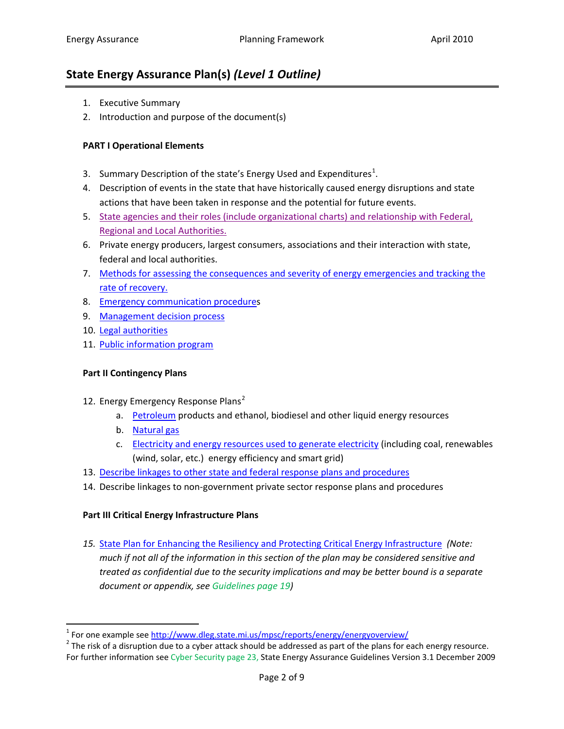# **State Energy Assurance Plan(s)** *(Level 1 Outline)*

- 1. Executive Summary
- 2. Introduction and purpose of the document(s)

## **PART I Operational Elements**

- 3. Summary Description of the state's Energy Used and Expenditures<sup>[1](#page-1-0)</sup>.
- 4. Description of events in the state that have historically caused energy disruptions and state actions that have been taken in response and the potential for future events.
- 5. [State agencies and their roles \(include organizational charts\)](#page-2-0) and relationship with Federal, [Regional and Local Authorities.](#page-2-0)
- 6. Private energy producers, largest consumers, associations and their interaction with state, federal and local authorities.
- 7. [Methods for assessing the consequences and severity of](#page-2-1) energy emergencies and tracking the [rate of recovery.](#page-2-1)
- 8. [Emergency communication procedures](#page-2-1)
- 9. [Management decision process](#page-3-0)
- 10. [Legal authorities](#page-3-1)
- 11. [Public information program](#page-3-2)

### **Part II Contingency Plans**

- 1[2](#page-1-1). Energy Emergency Response Plans<sup>2</sup>
	- a. [Petroleum](#page-4-0) products and ethanol, biodiesel and other liquid energy resources
	- b. [Natural gas](#page-4-1)
	- c. [Electricity and energy resources](#page-5-0) used to generate electricity (including coal, renewables (wind, solar, etc.) energy efficiency and smart grid)
- 13. [Describe linkages to other state and federal response plans and procedures](#page-6-0)
- 14. Describe linkages to non-government private sector response plans and procedures

### **Part III Critical Energy Infrastructure Plans**

*15.* [State Plan for Enhancing the Resiliency and Protecting Critical Energy Infrastructure](#page-6-1) *(Note: much if not all of the information in this section of the plan may be considered sensitive and treated as confidential due to the security implications and may be better bound is a separate document or appendix, see Guidelines page 19)*

<span id="page-1-1"></span><span id="page-1-0"></span><sup>&</sup>lt;sup>1</sup> For one example see <u>http://www.dleg.state.mi.us/mpsc/reports/energy/energyoverview/</u><br><sup>2</sup> The risk of a disruption due to a cyber attack should be addressed as part of the plans for each energy resource. For further information see Cyber Security page 23, State Energy Assurance Guidelines Version 3.1 December 2009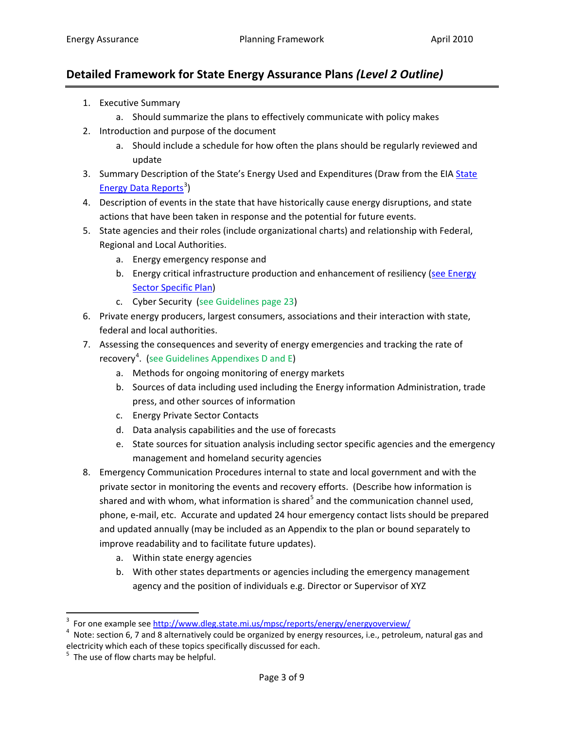# **Detailed Framework for State Energy Assurance Plans** *(Level 2 Outline)*

- 1. Executive Summary
	- a. Should summarize the plans to effectively communicate with policy makes
- 2. Introduction and purpose of the document
	- a. Should include a schedule for how often the plans should be regularly reviewed and update
- 3. Summary Description of the [State](http://www.eia.doe.gov/emeu/states/_seds.html)'s Energy Used and Expenditures (Draw from the EIA State [Energy Data Reports](http://www.eia.doe.gov/emeu/states/_seds.html)<sup>[3](#page-2-2)</sup>)
- 4. Description of events in the state that have historically cause energy disruptions, and state actions that have been taken in response and the potential for future events.
- <span id="page-2-0"></span>5. State agencies and their roles (include organizational charts) and relationship with Federal, Regional and Local Authorities.
	- a. Energy emergency response and
	- b. Energy critical infrastructure production and enhancement of resiliency (see Energy [Sector Specific Plan\)](http://www.dhs.gov/xlibrary/assets/nipp-ssp-energy-redacted.pdf)
	- c. Cyber Security (see Guidelines page 23)
- 6. Private energy producers, largest consumers, associations and their interaction with state, federal and local authorities.
- 7. Assessing the consequences and severity of energy emergencies and tracking the rate of recovery<sup>[4](#page-2-3)</sup>. (see Guidelines Appendixes D and E)
	- a. Methods for ongoing monitoring of energy markets
	- b. Sources of data including used including the Energy information Administration, trade press, and other sources of information
	- c. Energy Private Sector Contacts
	- d. Data analysis capabilities and the use of forecasts
	- e. State sources for situation analysis including sector specific agencies and the emergency management and homeland security agencies
- <span id="page-2-1"></span>8. Emergency Communication Procedures internal to state and local government and with the private sector in monitoring the events and recovery efforts. (Describe how information is shared and with whom, what information is shared<sup>[5](#page-2-4)</sup> and the communication channel used, phone, e-mail, etc. Accurate and updated 24 hour emergency contact lists should be prepared and updated annually (may be included as an Appendix to the plan or bound separately to improve readability and to facilitate future updates).
	- a. Within state energy agencies
	- b. With other states departments or agencies including the emergency management agency and the position of individuals e.g. Director or Supervisor of XYZ

<sup>-&</sup>lt;br>3

<span id="page-2-3"></span><span id="page-2-2"></span><sup>&</sup>lt;sup>3</sup> For one example see<http://www.dleg.state.mi.us/mpsc/reports/energy/energyoverview/><br><sup>4</sup> Note: section 6, 7 and 8 alternatively could be organized by energy resources, i.e., petroleum, natural gas and electricity which each of these topics specifically discussed for each.<br><sup>5</sup> The use of flow charts may be helpful.

<span id="page-2-4"></span>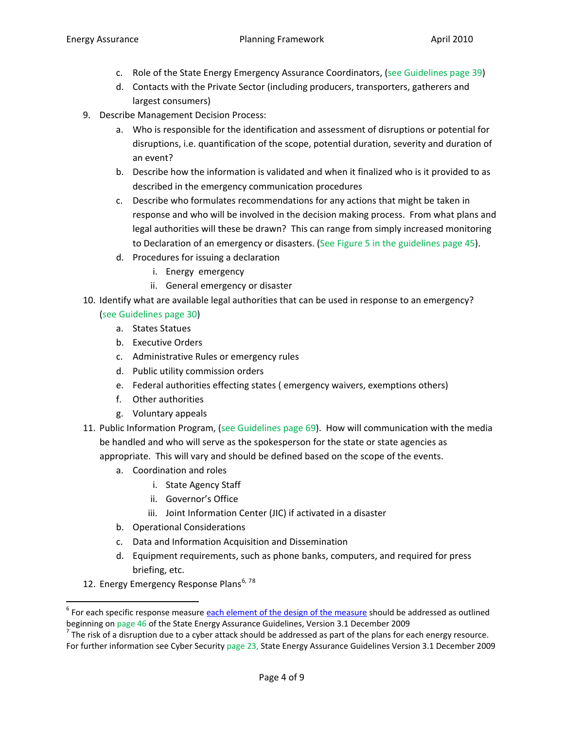- c. Role of the State Energy Emergency Assurance Coordinators, (see Guidelines page 39)
- d. Contacts with the Private Sector (including producers, transporters, gatherers and largest consumers)
- <span id="page-3-0"></span>9. Describe Management Decision Process:
	- a. Who is responsible for the identification and assessment of disruptions or potential for disruptions, i.e. quantification of the scope, potential duration, severity and duration of an event?
	- b. Describe how the information is validated and when it finalized who is it provided to as described in the emergency communication procedures
	- c. Describe who formulates recommendations for any actions that might be taken in response and who will be involved in the decision making process. From what plans and legal authorities will these be drawn? This can range from simply increased monitoring to Declaration of an emergency or disasters. (See Figure 5 in the guidelines page 45).
	- d. Procedures for issuing a declaration
		- i. Energy emergency
		- ii. General emergency or disaster
- <span id="page-3-1"></span>10. Identify what are available legal authorities that can be used in response to an emergency?

## (see Guidelines page 30)

- a. States Statues
- b. Executive Orders
- c. Administrative Rules or emergency rules
- d. Public utility commission orders
- e. Federal authorities effecting states ( emergency waivers, exemptions others)
- f. Other authorities
- g. Voluntary appeals
- <span id="page-3-2"></span>11. Public Information Program, (see Guidelines page 69). How will communication with the media be handled and who will serve as the spokesperson for the state or state agencies as appropriate. This will vary and should be defined based on the scope of the events.
	- a. Coordination and roles
		- i. State Agency Staff
		- ii. Governor's Office
		- iii. Joint Information Center (JIC) if activated in a disaster
	- b. Operational Considerations
	- c. Data and Information Acquisition and Dissemination
	- d. Equipment requirements, such as phone banks, computers, and required for press briefing, etc.
- 12. Energy Emergency Response Plans<sup>[6](#page-3-3), [7](#page-3-4)[8](#page-3-5)</sup>

<span id="page-3-5"></span><span id="page-3-3"></span> $6$  For each specific response measure **each element of the design of the measure** should be addressed as outlined beginning on page 46 of the State Energy Assurance Guidelines, Version 3.1 December 2009  $^7$  The risk of a disruption due to a cyber attack should be addressed as part of the plans for each energy resource.

<span id="page-3-4"></span>For further information see Cyber Security page 23, State Energy Assurance Guidelines Version 3.1 December 2009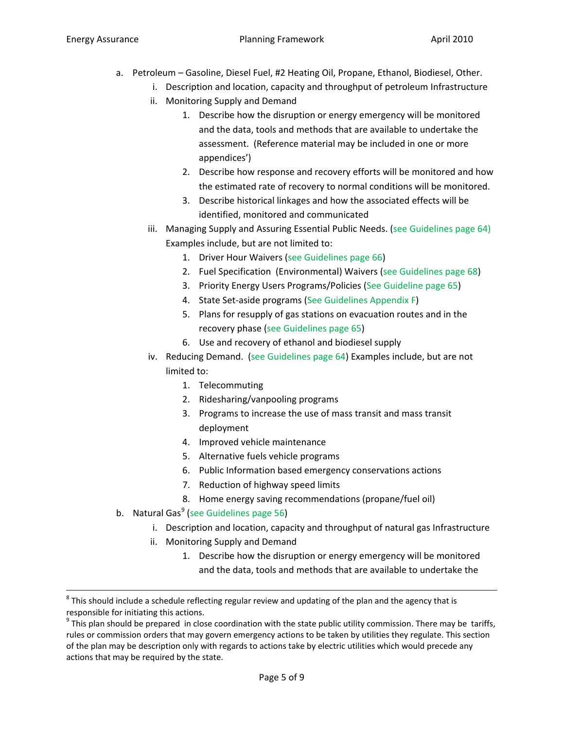- <span id="page-4-0"></span>a. Petroleum – Gasoline, Diesel Fuel, #2 Heating Oil, Propane, Ethanol, Biodiesel, Other.
	- i. Description and location, capacity and throughput of petroleum Infrastructure
	- ii. Monitoring Supply and Demand
		- 1. Describe how the disruption or energy emergency will be monitored and the data, tools and methods that are available to undertake the assessment. (Reference material may be included in one or more appendices')
		- 2. Describe how response and recovery efforts will be monitored and how the estimated rate of recovery to normal conditions will be monitored.
		- 3. Describe historical linkages and how the associated effects will be identified, monitored and communicated
	- iii. Managing Supply and Assuring Essential Public Needs. (see Guidelines page 64) Examples include, but are not limited to:
		- 1. Driver Hour Waivers (see Guidelines page 66)
		- 2. Fuel Specification (Environmental) Waivers (see Guidelines page 68)
		- 3. Priority Energy Users Programs/Policies (See Guideline page 65)
		- 4. State Set-aside programs (See Guidelines Appendix F)
		- 5. Plans for resupply of gas stations on evacuation routes and in the recovery phase (see Guidelines page 65)
		- 6. Use and recovery of ethanol and biodiesel supply
	- iv. Reducing Demand. (see Guidelines page 64) Examples include, but are not limited to:
		- 1. Telecommuting
		- 2. Ridesharing/vanpooling programs
		- 3. Programs to increase the use of mass transit and mass transit deployment
		- 4. Improved vehicle maintenance
		- 5. Alternative fuels vehicle programs
		- 6. Public Information based emergency conservations actions
		- 7. Reduction of highway speed limits
		- 8. Home energy saving recommendations (propane/fuel oil)
- <span id="page-4-1"></span>b. Natural Gas<sup>[9](#page-4-2)</sup> (see Guidelines page 56)
	- i. Description and location, capacity and throughput of natural gas Infrastructure
	- ii. Monitoring Supply and Demand
		- 1. Describe how the disruption or energy emergency will be monitored and the data, tools and methods that are available to undertake the

 $8$  This should include a schedule reflecting regular review and updating of the plan and the agency that is responsible for initiating this actions.

<span id="page-4-2"></span> $9$  This plan should be prepared in close coordination with the state public utility commission. There may be tariffs, rules or commission orders that may govern emergency actions to be taken by utilities they regulate. This section of the plan may be description only with regards to actions take by electric utilities which would precede any actions that may be required by the state.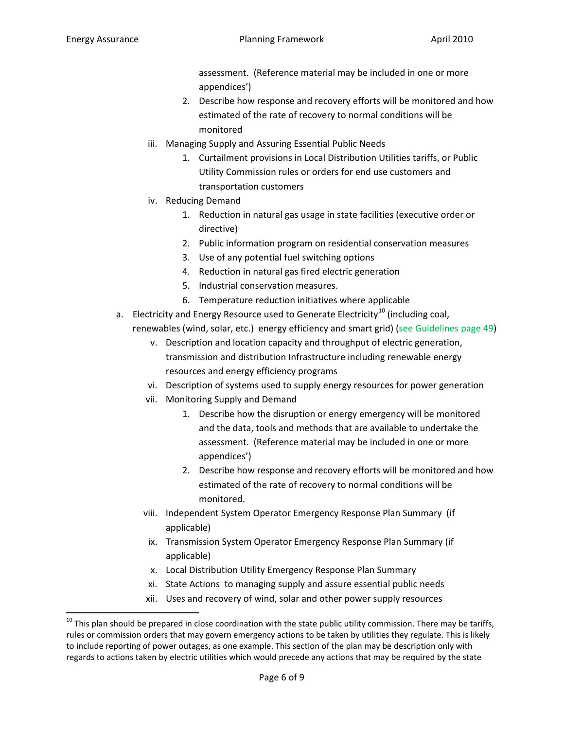assessment. (Reference material may be included in one or more appendices')

- 2. Describe how response and recovery efforts will be monitored and how estimated of the rate of recovery to normal conditions will be monitored
- iii. Managing Supply and Assuring Essential Public Needs
	- 1. Curtailment provisions in Local Distribution Utilities tariffs, or Public Utility Commission rules or orders for end use customers and transportation customers
- iv. Reducing Demand
	- 1. Reduction in natural gas usage in state facilities (executive order or directive)
	- 2. Public information program on residential conservation measures
	- 3. Use of any potential fuel switching options
	- 4. Reduction in natural gas fired electric generation
	- 5. Industrial conservation measures.
	- 6. Temperature reduction initiatives where applicable
- <span id="page-5-0"></span>a. Electricity and Energy Resource used to Generate Electricity<sup>[10](#page-5-1)</sup> (including coal, renewables (wind, solar, etc.) energy efficiency and smart grid) (see Guidelines page 49)
	- v. Description and location capacity and throughput of electric generation, transmission and distribution Infrastructure including renewable energy resources and energy efficiency programs
	- vi. Description of systems used to supply energy resources for power generation
	- vii. Monitoring Supply and Demand
		- 1. Describe how the disruption or energy emergency will be monitored and the data, tools and methods that are available to undertake the assessment. (Reference material may be included in one or more appendices')
		- 2. Describe how response and recovery efforts will be monitored and how estimated of the rate of recovery to normal conditions will be monitored.
	- viii. Independent System Operator Emergency Response Plan Summary (if applicable)
	- ix. Transmission System Operator Emergency Response Plan Summary (if applicable)
	- x. Local Distribution Utility Emergency Response Plan Summary
	- xi. State Actions to managing supply and assure essential public needs
	- xii. Uses and recovery of wind, solar and other power supply resources

<span id="page-5-1"></span> $10$  This plan should be prepared in close coordination with the state public utility commission. There may be tariffs, rules or commission orders that may govern emergency actions to be taken by utilities they regulate. This is likely to include reporting of power outages, as one example. This section of the plan may be description only with regards to actions taken by electric utilities which would precede any actions that may be required by the state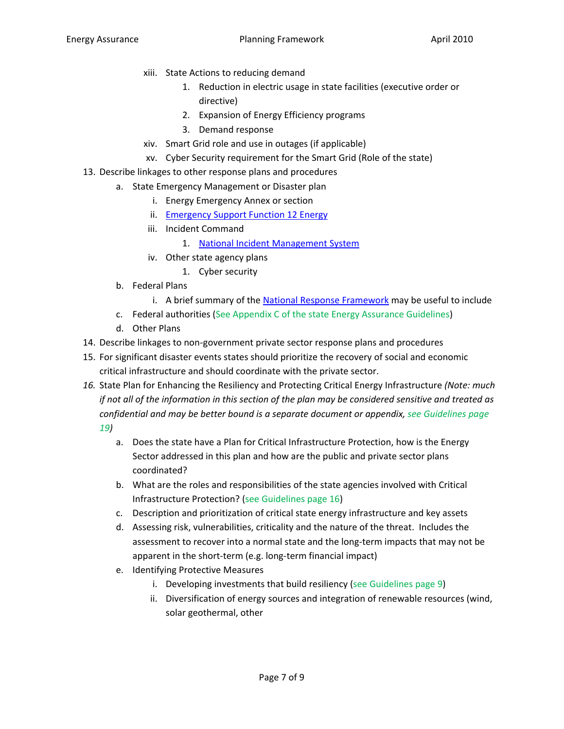- xiii. State Actions to reducing demand
	- 1. Reduction in electric usage in state facilities (executive order or directive)
	- 2. Expansion of Energy Efficiency programs
	- 3. Demand response
- xiv. Smart Grid role and use in outages (if applicable)
- xv. Cyber Security requirement for the Smart Grid (Role of the state)
- <span id="page-6-0"></span>13. Describe linkages to other response plans and procedures
	- a. State Emergency Management or Disaster plan
		- i. Energy Emergency Annex or section
		- ii. [Emergency Support Function 12 Energy](http://www.fema.gov/pdf/emergency/nrf/nrf-esf-12.pdf)
		- iii. Incident Command
			- 1. [National Incident Management System](http://www.nimsonline.com/)
		- iv. Other state agency plans
			- 1. Cyber security
	- b. Federal Plans
		- i. A brief summary of the [National Response Framework](http://www.fema.gov/pdf/emergency/nrf/nrf-core.pdf) may be useful to include
	- c. Federal authorities (See Appendix C of the state Energy Assurance Guidelines)
	- d. Other Plans
- 14. Describe linkages to non-government private sector response plans and procedures
- 15. For significant disaster events states should prioritize the recovery of social and economic critical infrastructure and should coordinate with the private sector.
- <span id="page-6-1"></span>*16.* State Plan for Enhancing the Resiliency and Protecting Critical Energy Infrastructure *(Note: much if not all of the information in this section of the plan may be considered sensitive and treated as confidential and may be better bound is a separate document or appendix, see Guidelines page 19)*
	- a. Does the state have a Plan for Critical Infrastructure Protection, how is the Energy Sector addressed in this plan and how are the public and private sector plans coordinated?
	- b. What are the roles and responsibilities of the state agencies involved with Critical Infrastructure Protection? (see Guidelines page 16)
	- c. Description and prioritization of critical state energy infrastructure and key assets
	- d. Assessing risk, vulnerabilities, criticality and the nature of the threat. Includes the assessment to recover into a normal state and the long-term impacts that may not be apparent in the short-term (e.g. long-term financial impact)
	- e. Identifying Protective Measures
		- i. Developing investments that build resiliency (see Guidelines page 9)
		- ii. Diversification of energy sources and integration of renewable resources (wind, solar geothermal, other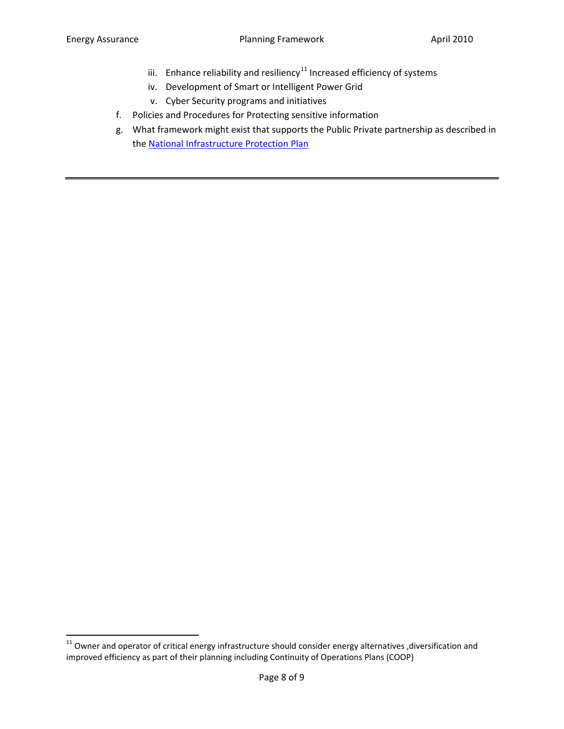- iii. Enhance reliability and resiliency<sup>[11](#page-7-1)</sup> Increased efficiency of systems
- iv. Development of Smart or Intelligent Power Grid
- v. Cyber Security programs and initiatives
- f. Policies and Procedures for Protecting sensitive information
- <span id="page-7-0"></span>g. What framework might exist that supports the Public Private partnership as described in the [National Infrastructure Protection Plan](http://www.dhs.gov/files/programs/editorial_0827.shtm)

<span id="page-7-1"></span> $11$  Owner and operator of critical energy infrastructure should consider energy alternatives ,diversification and improved efficiency as part of their planning including Continuity of Operations Plans (COOP)